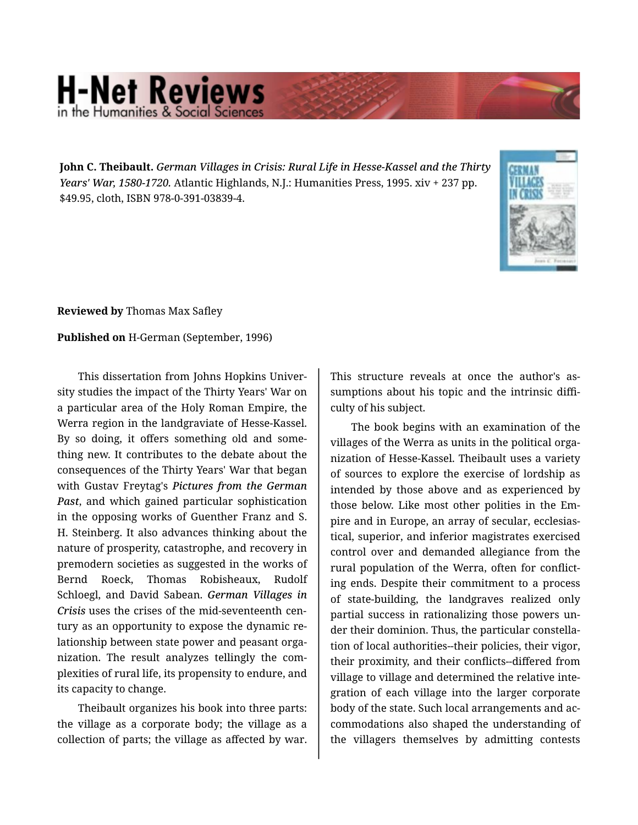## **H-Net Reviews** in the Humanities & Social Scie

**John C. Theibault.** *German Villages in Crisis: Rural Life in Hesse-Kassel and the Thirty Years' War, 1580-1720.* Atlantic Highlands, N.J.: Humanities Press, 1995. xiv + 237 pp. \$49.95, cloth, ISBN 978-0-391-03839-4.



**Reviewed by** Thomas Max Safley

**Published on** H-German (September, 1996)

This dissertation from Johns Hopkins Univer‐ sity studies the impact of the Thirty Years' War on a particular area of the Holy Roman Empire, the Werra region in the landgraviate of Hesse-Kassel. By so doing, it offers something old and some‐ thing new. It contributes to the debate about the consequences of the Thirty Years' War that began with Gustav Freytag's *Pictures from the German Past*, and which gained particular sophistication in the opposing works of Guenther Franz and S. H. Steinberg. It also advances thinking about the nature of prosperity, catastrophe, and recovery in premodern societies as suggested in the works of Bernd Roeck, Thomas Robisheaux, Rudolf Schloegl, and David Sabean. *German Villages in Crisis* uses the crises of the mid-seventeenth cen‐ tury as an opportunity to expose the dynamic re‐ lationship between state power and peasant orga‐ nization. The result analyzes tellingly the com‐ plexities of rural life, its propensity to endure, and its capacity to change.

Theibault organizes his book into three parts: the village as a corporate body; the village as a collection of parts; the village as affected by war.

This structure reveals at once the author's as‐ sumptions about his topic and the intrinsic diffi‐ culty of his subject.

The book begins with an examination of the villages of the Werra as units in the political orga‐ nization of Hesse-Kassel. Theibault uses a variety of sources to explore the exercise of lordship as intended by those above and as experienced by those below. Like most other polities in the Em‐ pire and in Europe, an array of secular, ecclesias‐ tical, superior, and inferior magistrates exercised control over and demanded allegiance from the rural population of the Werra, often for conflict‐ ing ends. Despite their commitment to a process of state-building, the landgraves realized only partial success in rationalizing those powers un‐ der their dominion. Thus, the particular constella‐ tion of local authorities--their policies, their vigor, their proximity, and their conflicts--differed from village to village and determined the relative inte‐ gration of each village into the larger corporate body of the state. Such local arrangements and ac‐ commodations also shaped the understanding of the villagers themselves by admitting contests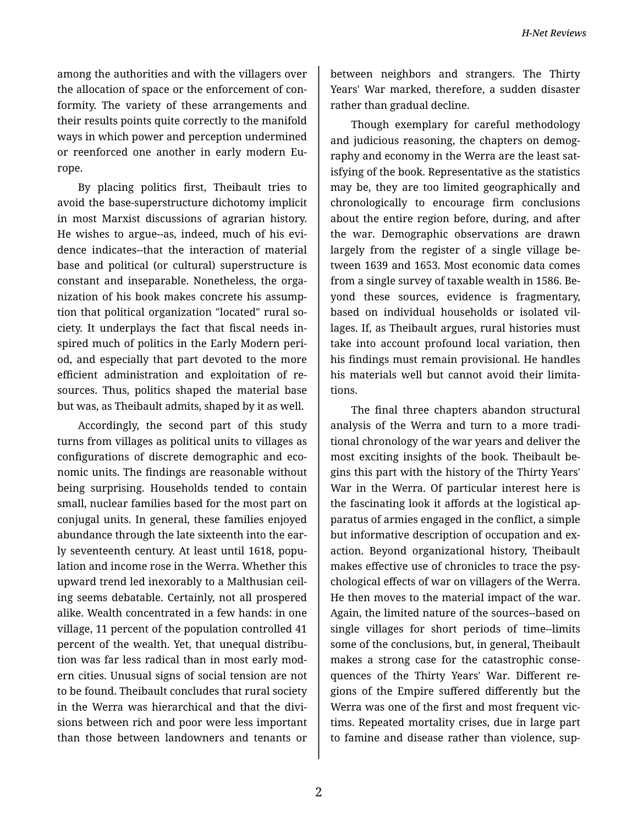among the authorities and with the villagers over the allocation of space or the enforcement of con‐ formity. The variety of these arrangements and their results points quite correctly to the manifold ways in which power and perception undermined or reenforced one another in early modern Eu‐ rope.

By placing politics first, Theibault tries to avoid the base-superstructure dichotomy implicit in most Marxist discussions of agrarian history. He wishes to argue--as, indeed, much of his evi‐ dence indicates--that the interaction of material base and political (or cultural) superstructure is constant and inseparable. Nonetheless, the orga‐ nization of his book makes concrete his assump‐ tion that political organization "located" rural so‐ ciety. It underplays the fact that fiscal needs in‐ spired much of politics in the Early Modern peri‐ od, and especially that part devoted to the more efficient administration and exploitation of re‐ sources. Thus, politics shaped the material base but was, as Theibault admits, shaped by it as well.

Accordingly, the second part of this study turns from villages as political units to villages as configurations of discrete demographic and eco‐ nomic units. The findings are reasonable without being surprising. Households tended to contain small, nuclear families based for the most part on conjugal units. In general, these families enjoyed abundance through the late sixteenth into the ear‐ ly seventeenth century. At least until 1618, population and income rose in the Werra. Whether this upward trend led inexorably to a Malthusian ceil‐ ing seems debatable. Certainly, not all prospered alike. Wealth concentrated in a few hands: in one village, 11 percent of the population controlled 41 percent of the wealth. Yet, that unequal distribu‐ tion was far less radical than in most early mod‐ ern cities. Unusual signs of social tension are not to be found. Theibault concludes that rural society in the Werra was hierarchical and that the divi‐ sions between rich and poor were less important than those between landowners and tenants or

between neighbors and strangers. The Thirty Years' War marked, therefore, a sudden disaster rather than gradual decline.

Though exemplary for careful methodology and judicious reasoning, the chapters on demog‐ raphy and economy in the Werra are the least sat‐ isfying of the book. Representative as the statistics may be, they are too limited geographically and chronologically to encourage firm conclusions about the entire region before, during, and after the war. Demographic observations are drawn largely from the register of a single village be‐ tween 1639 and 1653. Most economic data comes from a single survey of taxable wealth in 1586. Be‐ yond these sources, evidence is fragmentary, based on individual households or isolated vil‐ lages. If, as Theibault argues, rural histories must take into account profound local variation, then his findings must remain provisional. He handles his materials well but cannot avoid their limitations.

The final three chapters abandon structural analysis of the Werra and turn to a more tradi‐ tional chronology of the war years and deliver the most exciting insights of the book. Theibault be‐ gins this part with the history of the Thirty Years' War in the Werra. Of particular interest here is the fascinating look it affords at the logistical ap‐ paratus of armies engaged in the conflict, a simple but informative description of occupation and exaction. Beyond organizational history, Theibault makes effective use of chronicles to trace the psy‐ chological effects of war on villagers of the Werra. He then moves to the material impact of the war. Again, the limited nature of the sources--based on single villages for short periods of time--limits some of the conclusions, but, in general, Theibault makes a strong case for the catastrophic conse‐ quences of the Thirty Years' War. Different re‐ gions of the Empire suffered differently but the Werra was one of the first and most frequent vic‐ tims. Repeated mortality crises, due in large part to famine and disease rather than violence, sup‐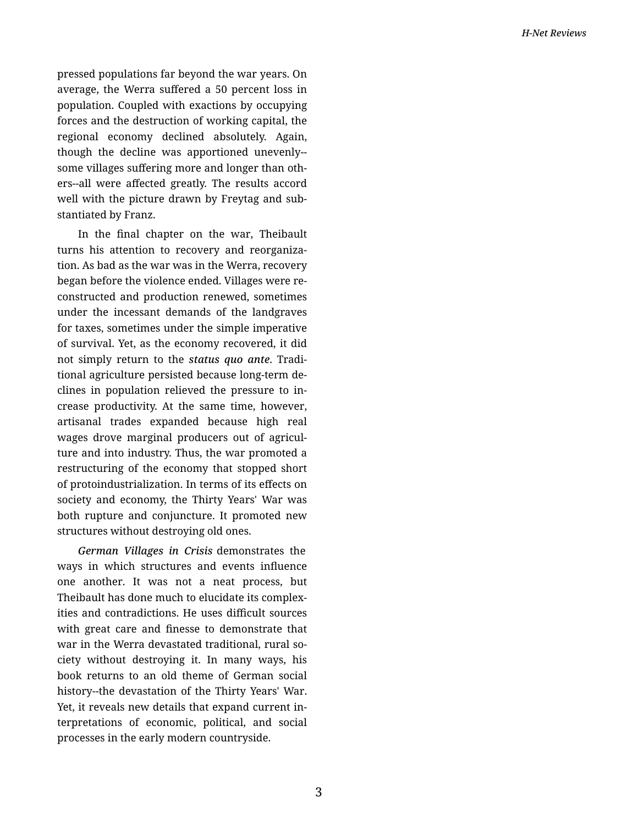pressed populations far beyond the war years. On average, the Werra suffered a 50 percent loss in population. Coupled with exactions by occupying forces and the destruction of working capital, the regional economy declined absolutely. Again, though the decline was apportioned unevenly- some villages suffering more and longer than oth‐ ers--all were affected greatly. The results accord well with the picture drawn by Freytag and sub‐ stantiated by Franz.

In the final chapter on the war, Theibault turns his attention to recovery and reorganiza‐ tion. As bad as the war was in the Werra, recovery began before the violence ended. Villages were re‐ constructed and production renewed, sometimes under the incessant demands of the landgraves for taxes, sometimes under the simple imperative of survival. Yet, as the economy recovered, it did not simply return to the *status quo ante*. Tradi‐ tional agriculture persisted because long-term de‐ clines in population relieved the pressure to in‐ crease productivity. At the same time, however, artisanal trades expanded because high real wages drove marginal producers out of agricul‐ ture and into industry. Thus, the war promoted a restructuring of the economy that stopped short of protoindustrialization. In terms of its effects on society and economy, the Thirty Years' War was both rupture and conjuncture. It promoted new structures without destroying old ones.

*German Villages in Crisis* demonstrates the ways in which structures and events influence one another. It was not a neat process, but Theibault has done much to elucidate its complex‐ ities and contradictions. He uses difficult sources with great care and finesse to demonstrate that war in the Werra devastated traditional, rural society without destroying it. In many ways, his book returns to an old theme of German social history--the devastation of the Thirty Years' War. Yet, it reveals new details that expand current in‐ terpretations of economic, political, and social processes in the early modern countryside.